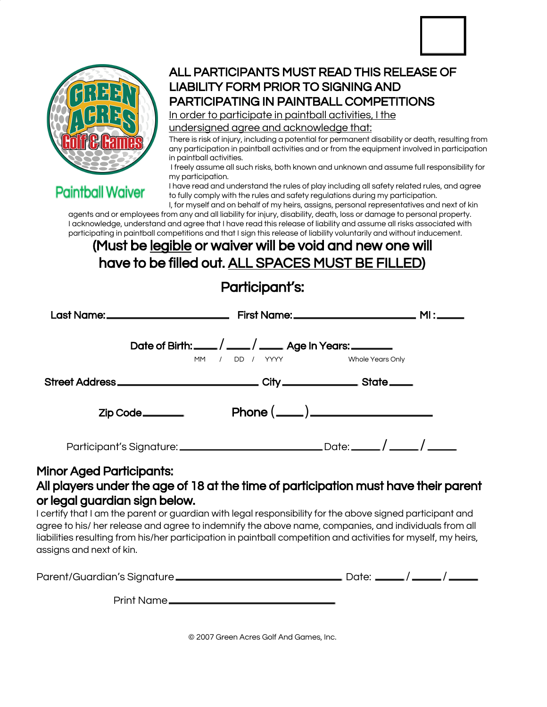

**Paintball Waiver** 

### ALL PARTICIPANTS MUST READ THIS RELEASE OF LIABILITY FORM PRIOR TO SIGNING AND PARTICIPATING IN PAINTBALL COMPETITIONS

In order to participate in paintball activities, I the

undersigned agree and acknowledge that:

There is risk of injury, including a potential for permanent disability or death, resulting from any participation in paintball activities and or from the equipment involved in participation in paintball activities.

I freely assume all such risks, both known and unknown and assume full responsibility for my participation.

I have read and understand the rules of play including all safety related rules, and agree to fully comply with the rules and safety regulations during my participation.

I, for myself and on behalf of my heirs, assigns, personal representatives and next of kin agents and or employees from any and all liability for injury, disability, death, loss or damage to personal property. I acknowledge, understand and agree that I have read this release of liability and assume all risks associated with participating in paintball competitions and that I sign this release of liability voluntarily and without inducement.

## (Must be legible or waiver will be void and new one will have to be filled out. ALL SPACES MUST BE FILLED)

## Participant's:

|                                                                                   | Date of Birth: ____/ ____/ ____ Age In Years: _______<br>MM / DD / YYYY | Whole Years Only  |  |
|-----------------------------------------------------------------------------------|-------------------------------------------------------------------------|-------------------|--|
| Street Address _______________________________City ___________________State _____ |                                                                         |                   |  |
| Zip Code_______                                                                   |                                                                         | $Phone(\_\_)\_\_$ |  |
|                                                                                   |                                                                         |                   |  |
| 1inor Agod Dartioinante:                                                          |                                                                         |                   |  |

#### Minor Aged Participants:

#### All players under the age of 18 at the time of participation must have their parent or legal guardian sign below.

I certify that I am the parent or guardian with legal responsibility for the above signed participant and agree to his/ her release and agree to indemnify the above name, companies, and individuals from all liabilities resulting from his/her participation in paintball competition and activities for myself, my heirs, assigns and next of kin.

|               | Date: _____/ _____/ _____ |  |
|---------------|---------------------------|--|
| Print Name __ |                           |  |

© 2007 Green Acres Golf And Games, Inc.